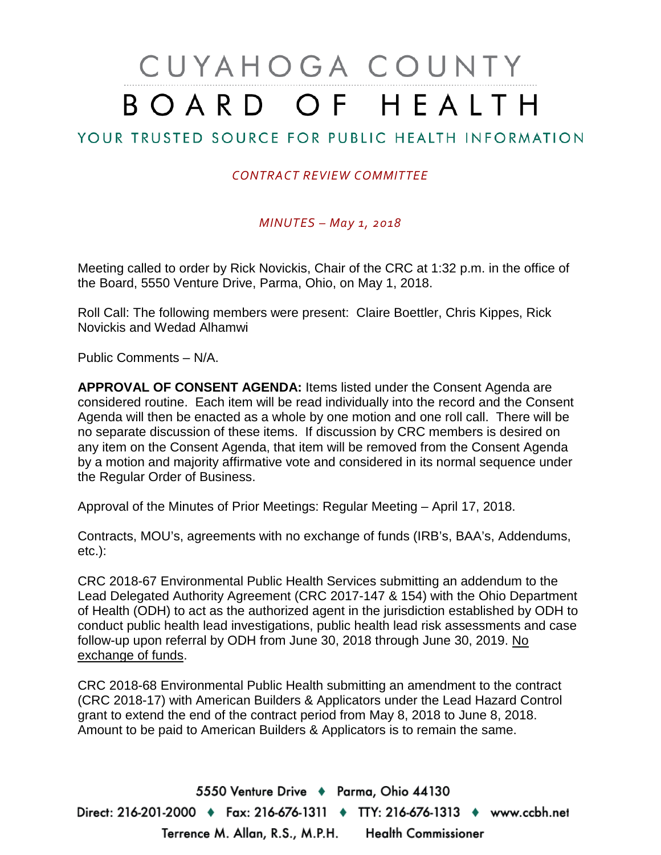# CUYAHOGA COUNTY BOARD OF HEALTH

### YOUR TRUSTED SOURCE FOR PUBLIC HEALTH INFORMATION

#### *CONTRACT REVIEW COMMITTEE*

#### *MINUTES – May 1, 2018*

Meeting called to order by Rick Novickis, Chair of the CRC at 1:32 p.m. in the office of the Board, 5550 Venture Drive, Parma, Ohio, on May 1, 2018.

Roll Call: The following members were present: Claire Boettler, Chris Kippes, Rick Novickis and Wedad Alhamwi

Public Comments – N/A.

**APPROVAL OF CONSENT AGENDA:** Items listed under the Consent Agenda are considered routine. Each item will be read individually into the record and the Consent Agenda will then be enacted as a whole by one motion and one roll call. There will be no separate discussion of these items. If discussion by CRC members is desired on any item on the Consent Agenda, that item will be removed from the Consent Agenda by a motion and majority affirmative vote and considered in its normal sequence under the Regular Order of Business.

Approval of the Minutes of Prior Meetings: Regular Meeting – April 17, 2018.

Contracts, MOU's, agreements with no exchange of funds (IRB's, BAA's, Addendums, etc.):

CRC 2018-67 Environmental Public Health Services submitting an addendum to the Lead Delegated Authority Agreement (CRC 2017-147 & 154) with the Ohio Department of Health (ODH) to act as the authorized agent in the jurisdiction established by ODH to conduct public health lead investigations, public health lead risk assessments and case follow-up upon referral by ODH from June 30, 2018 through June 30, 2019. No exchange of funds.

CRC 2018-68 Environmental Public Health submitting an amendment to the contract (CRC 2018-17) with American Builders & Applicators under the Lead Hazard Control grant to extend the end of the contract period from May 8, 2018 to June 8, 2018. Amount to be paid to American Builders & Applicators is to remain the same.

5550 Venture Drive + Parma, Ohio 44130 Direct: 216-201-2000 ♦ Fax: 216-676-1311 ♦ TTY: 216-676-1313 ♦ www.ccbh.net Terrence M. Allan, R.S., M.P.H. Health Commissioner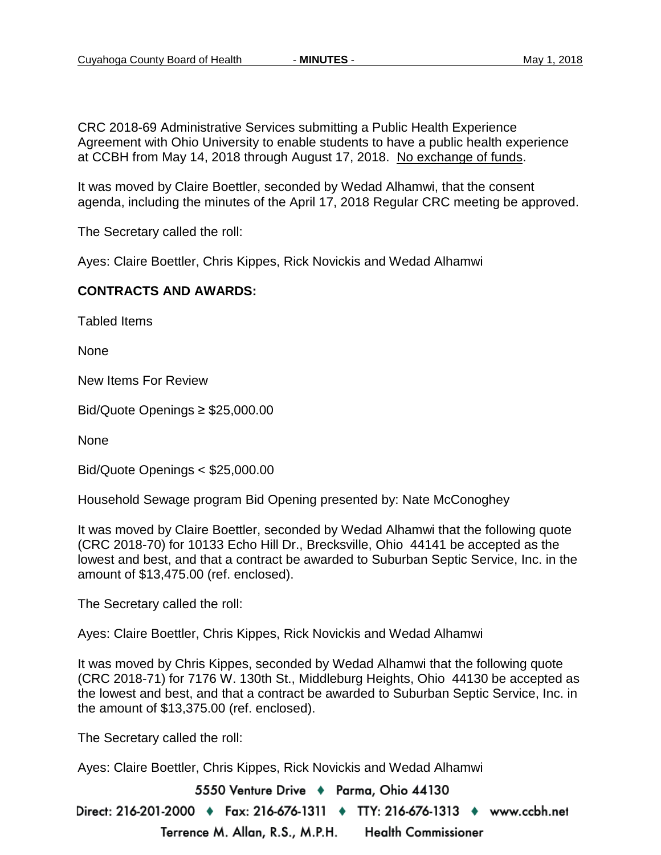CRC 2018-69 Administrative Services submitting a Public Health Experience Agreement with Ohio University to enable students to have a public health experience at CCBH from May 14, 2018 through August 17, 2018. No exchange of funds.

It was moved by Claire Boettler, seconded by Wedad Alhamwi, that the consent agenda, including the minutes of the April 17, 2018 Regular CRC meeting be approved.

The Secretary called the roll:

Ayes: Claire Boettler, Chris Kippes, Rick Novickis and Wedad Alhamwi

#### **CONTRACTS AND AWARDS:**

Tabled Items

None

New Items For Review

Bid/Quote Openings ≥ \$25,000.00

None

Bid/Quote Openings < \$25,000.00

Household Sewage program Bid Opening presented by: Nate McConoghey

It was moved by Claire Boettler, seconded by Wedad Alhamwi that the following quote (CRC 2018-70) for 10133 Echo Hill Dr., Brecksville, Ohio 44141 be accepted as the lowest and best, and that a contract be awarded to Suburban Septic Service, Inc. in the amount of \$13,475.00 (ref. enclosed).

The Secretary called the roll:

Ayes: Claire Boettler, Chris Kippes, Rick Novickis and Wedad Alhamwi

It was moved by Chris Kippes, seconded by Wedad Alhamwi that the following quote (CRC 2018-71) for 7176 W. 130th St., Middleburg Heights, Ohio 44130 be accepted as the lowest and best, and that a contract be awarded to Suburban Septic Service, Inc. in the amount of \$13,375.00 (ref. enclosed).

The Secretary called the roll:

Ayes: Claire Boettler, Chris Kippes, Rick Novickis and Wedad Alhamwi

5550 Venture Drive + Parma, Ohio 44130

Direct: 216-201-2000 ♦ Fax: 216-676-1311 ♦ TTY: 216-676-1313 ♦ www.ccbh.net Terrence M. Allan, R.S., M.P.H. **Health Commissioner**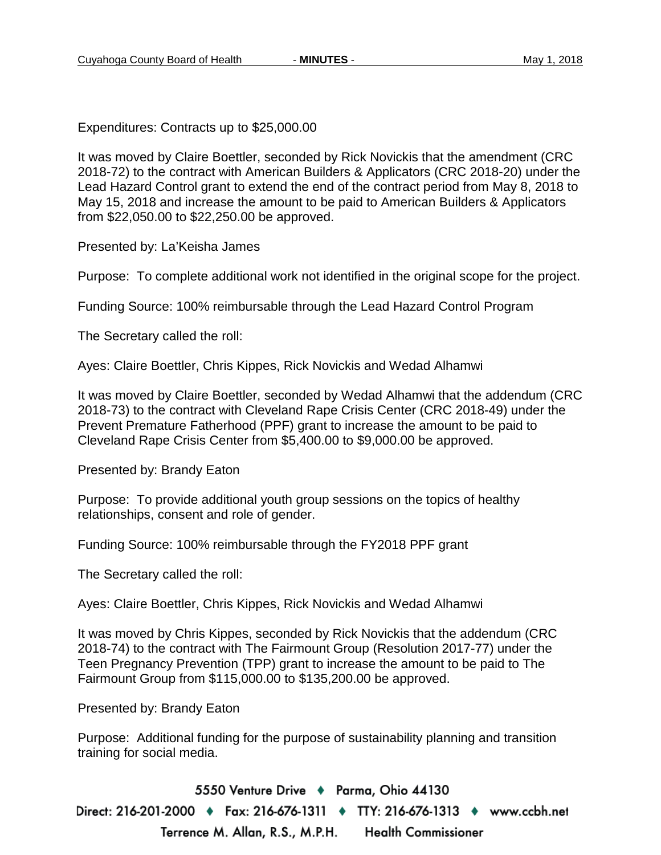Expenditures: Contracts up to \$25,000.00

It was moved by Claire Boettler, seconded by Rick Novickis that the amendment (CRC 2018-72) to the contract with American Builders & Applicators (CRC 2018-20) under the Lead Hazard Control grant to extend the end of the contract period from May 8, 2018 to May 15, 2018 and increase the amount to be paid to American Builders & Applicators from \$22,050.00 to \$22,250.00 be approved.

Presented by: La'Keisha James

Purpose: To complete additional work not identified in the original scope for the project.

Funding Source: 100% reimbursable through the Lead Hazard Control Program

The Secretary called the roll:

Ayes: Claire Boettler, Chris Kippes, Rick Novickis and Wedad Alhamwi

It was moved by Claire Boettler, seconded by Wedad Alhamwi that the addendum (CRC 2018-73) to the contract with Cleveland Rape Crisis Center (CRC 2018-49) under the Prevent Premature Fatherhood (PPF) grant to increase the amount to be paid to Cleveland Rape Crisis Center from \$5,400.00 to \$9,000.00 be approved.

Presented by: Brandy Eaton

Purpose: To provide additional youth group sessions on the topics of healthy relationships, consent and role of gender.

Funding Source: 100% reimbursable through the FY2018 PPF grant

The Secretary called the roll:

Ayes: Claire Boettler, Chris Kippes, Rick Novickis and Wedad Alhamwi

It was moved by Chris Kippes, seconded by Rick Novickis that the addendum (CRC 2018-74) to the contract with The Fairmount Group (Resolution 2017-77) under the Teen Pregnancy Prevention (TPP) grant to increase the amount to be paid to The Fairmount Group from \$115,000.00 to \$135,200.00 be approved.

Presented by: Brandy Eaton

Purpose: Additional funding for the purpose of sustainability planning and transition training for social media.

5550 Venture Drive + Parma, Ohio 44130 Direct: 216-201-2000 ♦ Fax: 216-676-1311 ♦ TTY: 216-676-1313 ♦ www.ccbh.net Terrence M. Allan, R.S., M.P.H. **Health Commissioner**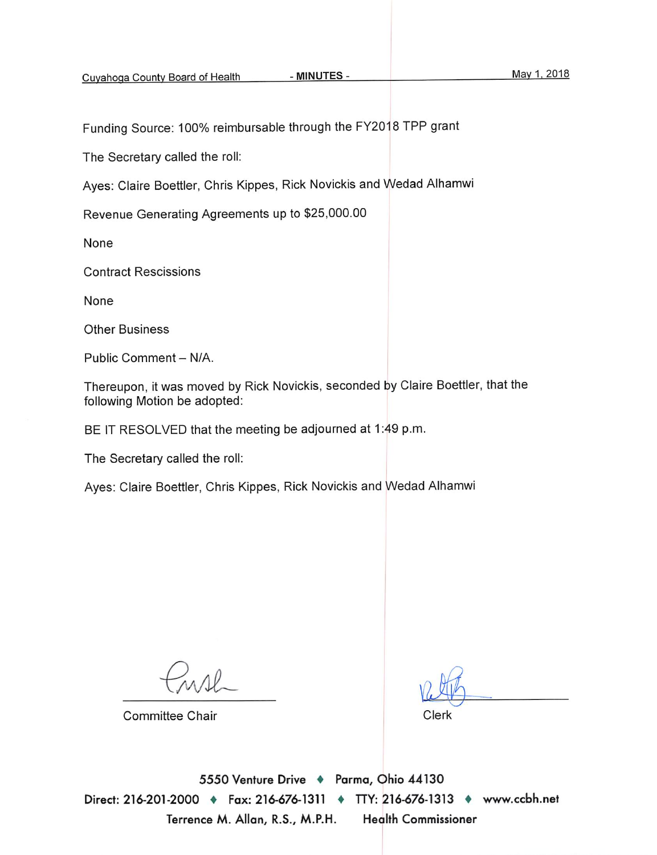Funding Source: 100% reimbursable through the FY2018 TPP grant

The Secretary called the roll:

Ayes: Claire Boettler, Chris Kippes, Rick Novickis and Wedad Alhamwi

Revenue Generating Agreements up to \$25,000.00

None

**Contract Rescissions** 

None

**Other Business** 

Public Comment - N/A.

Thereupon, it was moved by Rick Novickis, seconded by Claire Boettler, that the following Motion be adopted:

BE IT RESOLVED that the meeting be adjourned at 1:49 p.m.

The Secretary called the roll:

Ayes: Claire Boettler, Chris Kippes, Rick Novickis and Wedad Alhamwi

 $\wedge \theta$ 

**Committee Chair** 

Clerk

5550 Venture Drive + Parma, Ohio 44130 Direct: 216-201-2000 • Fax: 216-676-1311 • TTY: 216-676-1313 • www.ccbh.net Terrence M. Allan, R.S., M.P.H. **Health Commissioner**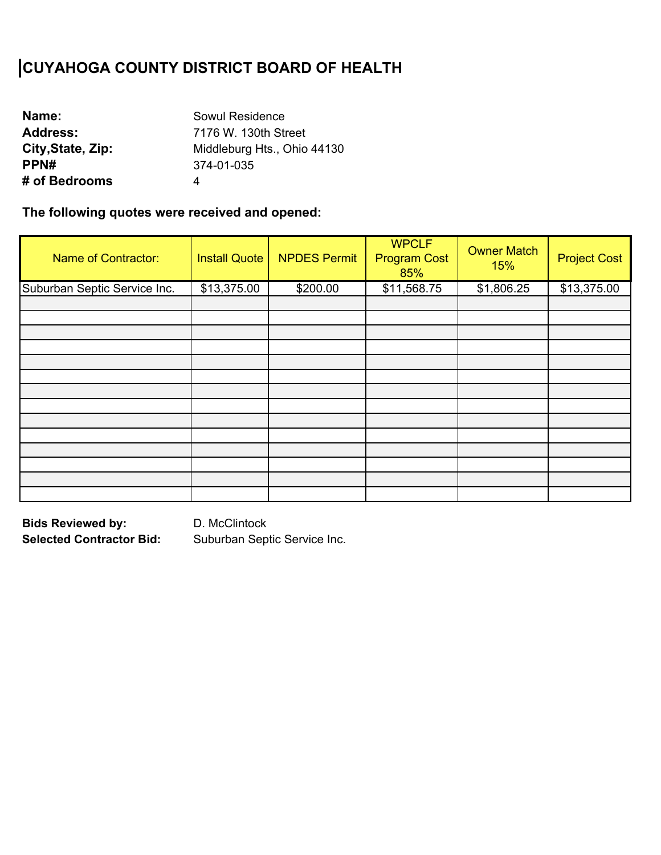## **CUYAHOGA COUNTY DISTRICT BOARD OF HEALTH**

| Name:             | Sowul Residence             |
|-------------------|-----------------------------|
| <b>Address:</b>   | 7176 W. 130th Street        |
| City, State, Zip: | Middleburg Hts., Ohio 44130 |
| PPN#              | 374-01-035                  |
| # of Bedrooms     | 4                           |

**The following quotes were received and opened:** 

| <b>Name of Contractor:</b>   | <b>Install Quote</b> | <b>NPDES Permit</b> | <b>WPCLF</b><br><b>Program Cost</b><br>85% | <b>Owner Match</b><br>15% | <b>Project Cost</b> |
|------------------------------|----------------------|---------------------|--------------------------------------------|---------------------------|---------------------|
| Suburban Septic Service Inc. | \$13,375.00          | \$200.00            | \$11,568.75                                | \$1,806.25                | \$13,375.00         |
|                              |                      |                     |                                            |                           |                     |
|                              |                      |                     |                                            |                           |                     |
|                              |                      |                     |                                            |                           |                     |
|                              |                      |                     |                                            |                           |                     |
|                              |                      |                     |                                            |                           |                     |
|                              |                      |                     |                                            |                           |                     |
|                              |                      |                     |                                            |                           |                     |
|                              |                      |                     |                                            |                           |                     |
|                              |                      |                     |                                            |                           |                     |
|                              |                      |                     |                                            |                           |                     |
|                              |                      |                     |                                            |                           |                     |
|                              |                      |                     |                                            |                           |                     |
|                              |                      |                     |                                            |                           |                     |
|                              |                      |                     |                                            |                           |                     |

**Bids Reviewed by:**  Selected Contractor Bid: Suburban Septic Service Inc.

D. McClintock